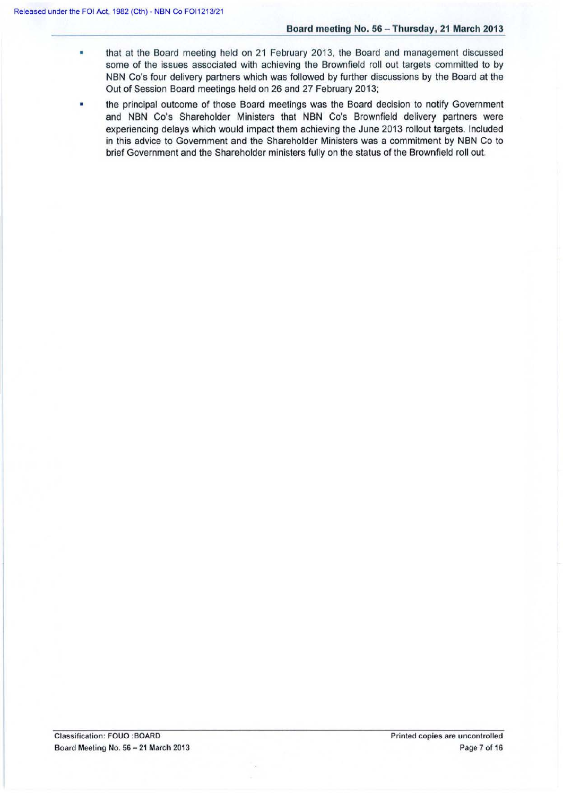- that at the Board meeting held on 21 February 2013, the Board and management discussed some of the issues associated with achieving the Brownfield roll out targets committed to by NBN Co's four delivery partners which was followed by further discussions by the Board at the Out of Session Board meetings held on 26 and 27 February 2013;
- the principal outcome of those Board meetings was the Board decision to notify Government and NBN Co's Shareholder Ministers that NBN Co's Brownfield delivery partners were experiencing delays which would impact them achieving the June 2013 rollout targets. Included in this advice to Government and the Shareholder Ministers was a commitment by NBN Co to brief Government and the Shareholder ministers fully on the status of the Brownfield roll out.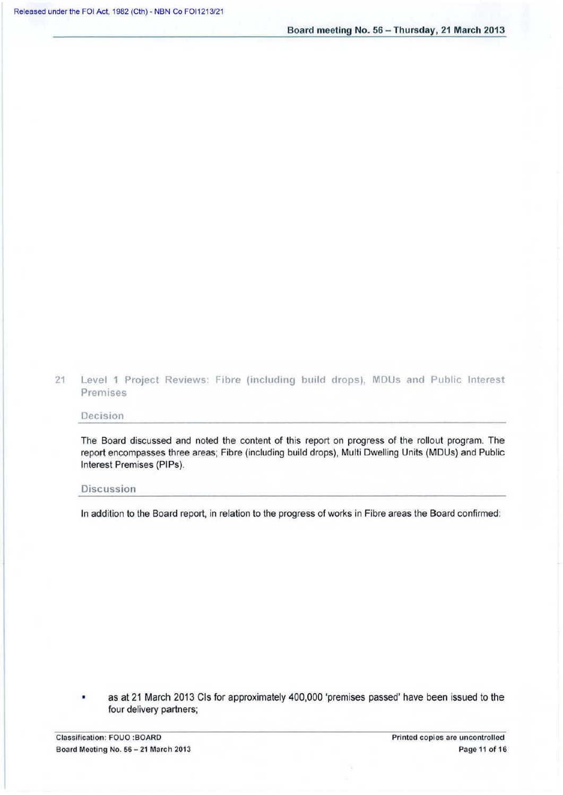21 Level 1 Project Reviews: Fibre (including build drops), MDUs and Public Interest Premises

# Decision

The Board discussed and noted the content of this report on progress of the rollout program. The report encompasses three areas; Fibre (including build drops), Multi Dwelling Units (MDUs) and Public Interest Premises (PIPs).

## **Discussion**

In addition to the Board report, in relation to the progress of works in Fibre areas the Board confirmed:

• as at 21 March 2013 Cis for approximately 400,000 'premises passed' have been issued to the four delivery partners;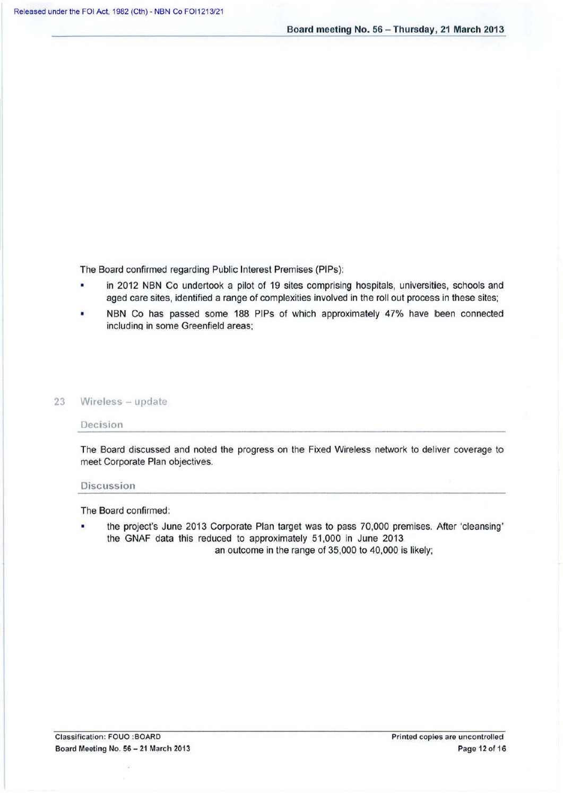The Board confirmed regarding Public Interest Premises (PIPs):

- in 2012 NBN Co undertook a pilot of 19 sites comprising hospitals, universities, schools and aged care sites, identified a range of complexities involved in the roll out process in these sites;
- NBN Co has passed some 188 PIPs of which approximately 47% have been connected including in some Greenfield areas;

## 23 Wireless - update

#### Decision

The Board discussed and noted the progress on the Fixed Wireless network to deliver coverage to meet Corporate Plan objectives.

#### Discussion

The Board confirmed:

• the project's June 2013 Corporate Plan target was to pass 70,000 premises. After 'cleansing' the GNAF data this reduced to approximately 51,000 in June 2013. an outcome in the range of 35,000 to 40,000 is likely;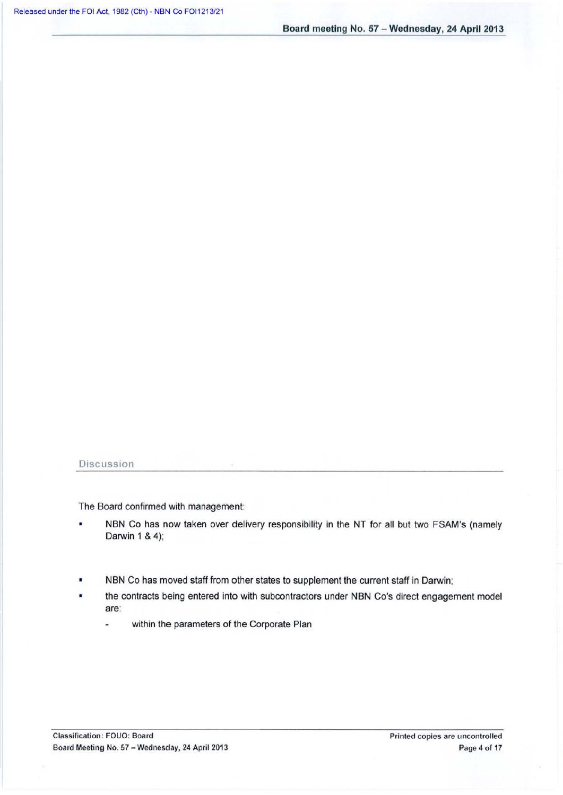Board meeting No. 57 - Wednesday, 24 April 2013

# Discussion

The Board confirmed with management:

- NBN Co has now taken over delivery responsibility in the NT for all but two FSAM's (namely Darwin 1 & 4);
- NBN Co has moved staff from other states to supplement the current staff in Darwin;
- the contracts being entered into with subcontractors under NBN Co's direct engagement model ٠ are:
	- within the parameters of the Corporate Plan  $\overline{a}$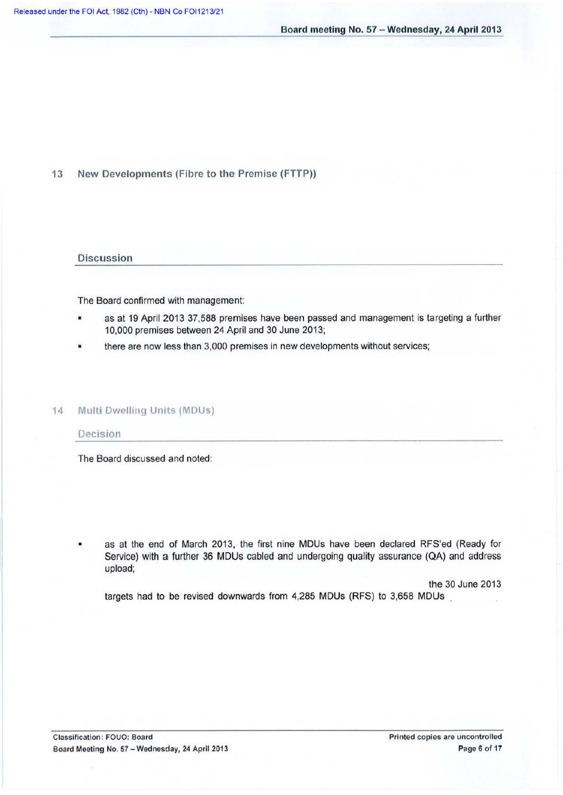13 New Developments (Fibre to the Premise (FTTP))

### **Discussion**

The Board confirmed with management:

- as at 19 April 2013 37,588 premises have been passed and management is targeting a further 10,000 premises between 24 April and 30 June 2013;
- there are now less than 3,000 premises in new developments without services;

## 14 Multi Dwelling Units (MDUs)

## Decision

The Board discussed and noted:

as at the end of March 2013, the first nine MDUs have been declared RFS'ed (Ready for Service) with a further 36 MDUs cabled and undergoing quality assurance (QA) and address upload;

the 30 June 2013

targets had to be revised downwards from 4,285 MDUs (RFS) to 3,658 MDUs